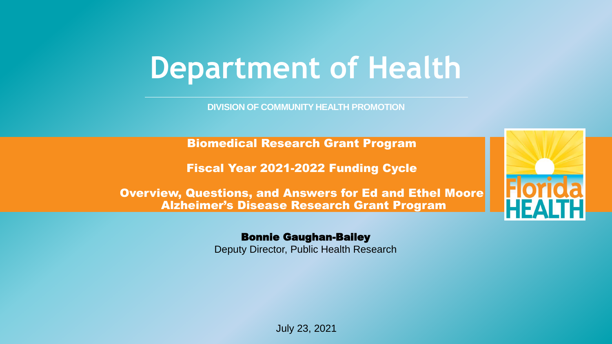# **Department of Health**

**DIVISION OF COMMUNITY HEALTH PROMOTION**

Biomedical Research Grant Program

Fiscal Year 2021-2022 Funding Cycle

Overview, Questions, and Answers for Ed and Ethel Moore Alzheimer's Disease Research Grant Program

#### Bonnie Gaughan-Bailey

Deputy Director, Public Health Research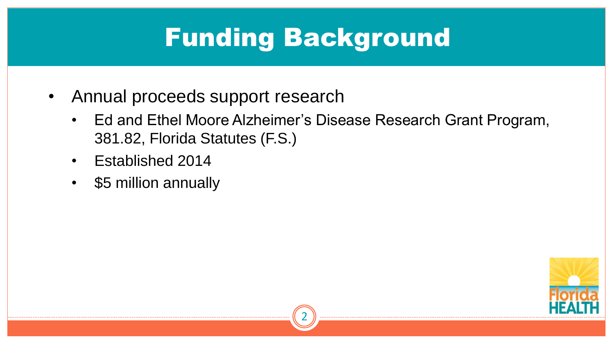### Funding Background

- Annual proceeds support research
	- Ed and Ethel Moore Alzheimer's Disease Research Grant Program, 381.82, Florida Statutes (F.S.)
	- Established 2014
	- \$5 million annually



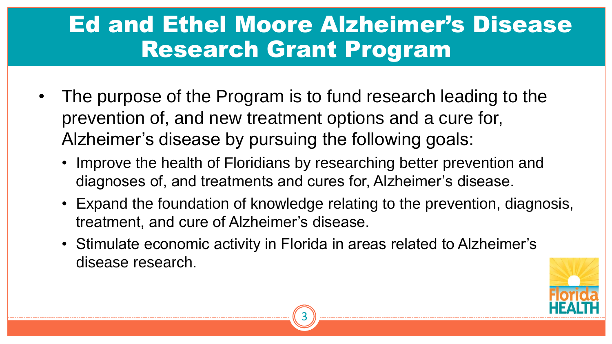#### Ed and Ethel Moore Alzheimer's Disease Research Grant Program

- The purpose of the Program is to fund research leading to the prevention of, and new treatment options and a cure for, Alzheimer's disease by pursuing the following goals:
	- Improve the health of Floridians by researching better prevention and diagnoses of, and treatments and cures for, Alzheimer's disease.
	- Expand the foundation of knowledge relating to the prevention, diagnosis, treatment, and cure of Alzheimer's disease.
	- Stimulate economic activity in Florida in areas related to Alzheimer's disease research.

3

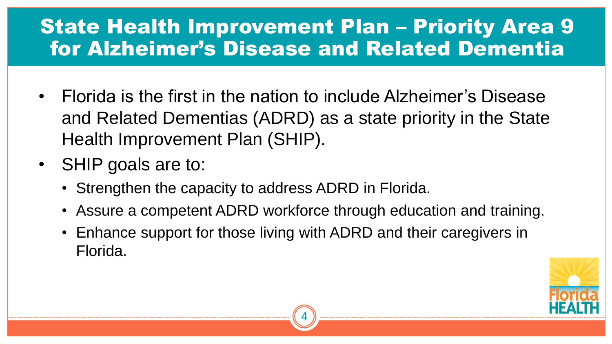#### State Health Improvement Plan – Priority Area 9 for Alzheimer's Disease and Related Dementia

- Florida is the first in the nation to include Alzheimer's Disease and Related Dementias (ADRD) as a state priority in the State Health Improvement Plan (SHIP).
- SHIP goals are to:
	- Strengthen the capacity to address ADRD in Florida.
	- Assure a competent ADRD workforce through education and training.

4

• Enhance support for those living with ADRD and their caregivers in Florida.

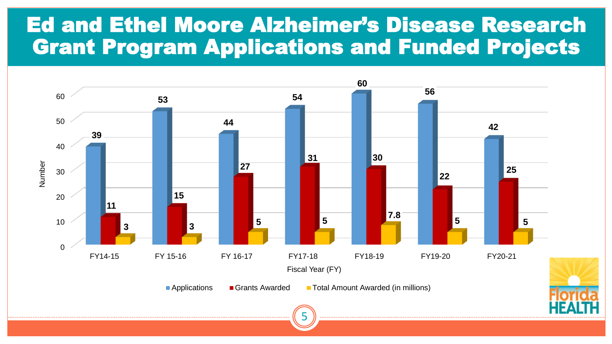#### Ed and Ethel Moore Alzheimer's Disease Research Grant Program Applications and Funded Projects

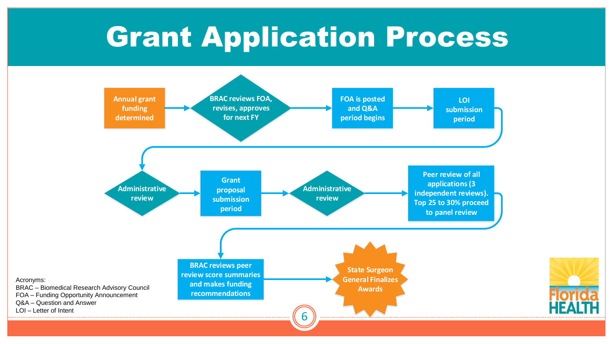# **Grant Application Process**



Acronyms:

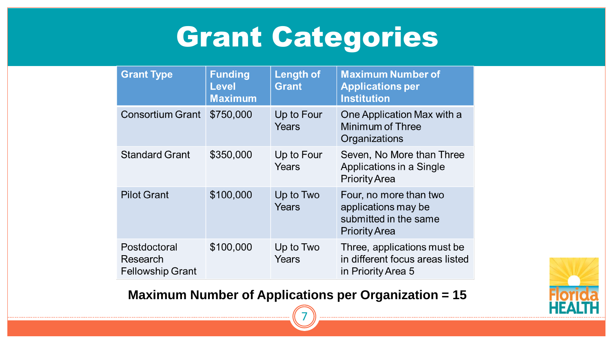# Grant Categories

| <b>Grant Type</b>                                   | <b>Funding</b><br><b>Level</b><br><b>Maximum</b> | <b>Length of</b><br><b>Grant</b> | <b>Maximum Number of</b><br><b>Applications per</b><br><b>Institution</b>                      |
|-----------------------------------------------------|--------------------------------------------------|----------------------------------|------------------------------------------------------------------------------------------------|
| <b>Consortium Grant</b>                             | \$750,000                                        | Up to Four<br>Years              | One Application Max with a<br>Minimum of Three<br>Organizations                                |
| <b>Standard Grant</b>                               | \$350,000                                        | Up to Four<br>Years              | Seven, No More than Three<br>Applications in a Single<br><b>Priority Area</b>                  |
| <b>Pilot Grant</b>                                  | \$100,000                                        | Up to Two<br>Years               | Four, no more than two<br>applications may be<br>submitted in the same<br><b>Priority Area</b> |
| Postdoctoral<br>Research<br><b>Fellowship Grant</b> | \$100,000                                        | Up to Two<br>Years               | Three, applications must be<br>in different focus areas listed<br>in Priority Area 5           |

**Maximum Number of Applications per Organization = 15**

7

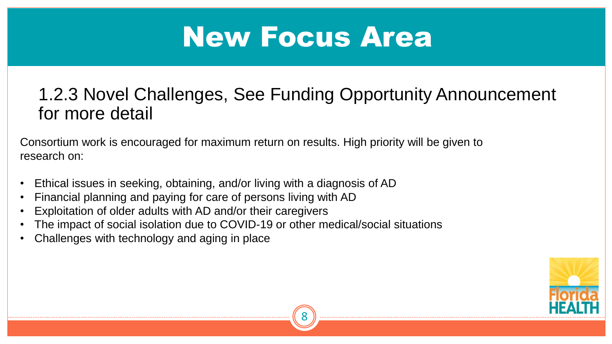# New Focus Area

#### 1.2.3 Novel Challenges, See Funding Opportunity Announcement for more detail

8

Consortium work is encouraged for maximum return on results. High priority will be given to research on:

- Ethical issues in seeking, obtaining, and/or living with a diagnosis of AD
- Financial planning and paying for care of persons living with AD
- Exploitation of older adults with AD and/or their caregivers
- The impact of social isolation due to COVID-19 or other medical/social situations
- Challenges with technology and aging in place

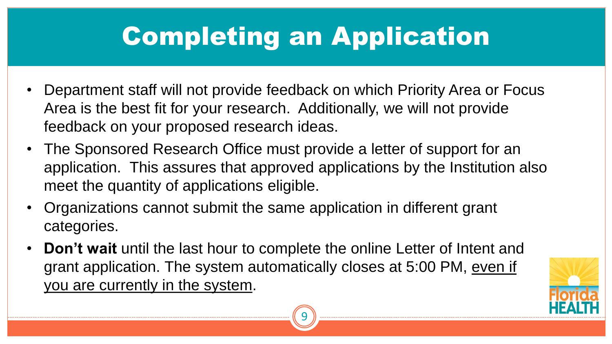# Completing an Application

- Department staff will not provide feedback on which Priority Area or Focus Area is the best fit for your research. Additionally, we will not provide feedback on your proposed research ideas.
- The Sponsored Research Office must provide a letter of support for an application. This assures that approved applications by the Institution also meet the quantity of applications eligible.
- Organizations cannot submit the same application in different grant categories.
- **Don't wait** until the last hour to complete the online Letter of Intent and grant application. The system automatically closes at 5:00 PM, even if you are currently in the system.



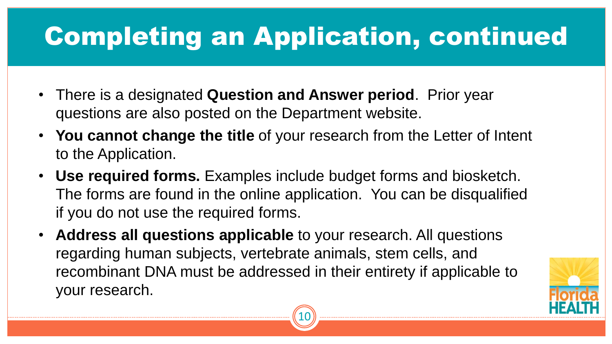# Completing an Application, continued

- There is a designated **Question and Answer period**. Prior year questions are also posted on the Department website.
- **You cannot change the title** of your research from the Letter of Intent to the Application.
- **Use required forms.** Examples include budget forms and biosketch. The forms are found in the online application. You can be disqualified if you do not use the required forms.
- **Address all questions applicable** to your research. All questions regarding human subjects, vertebrate animals, stem cells, and recombinant DNA must be addressed in their entirety if applicable to your research.



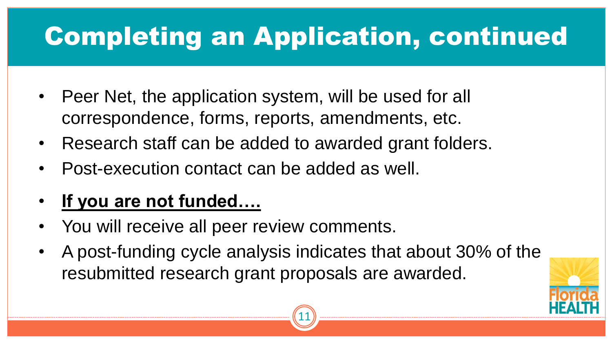# Completing an Application, continued

- Peer Net, the application system, will be used for all correspondence, forms, reports, amendments, etc.
- Research staff can be added to awarded grant folders.
- Post-execution contact can be added as well.

#### • **If you are not funded….**

- You will receive all peer review comments.
- A post-funding cycle analysis indicates that about 30% of the resubmitted research grant proposals are awarded.



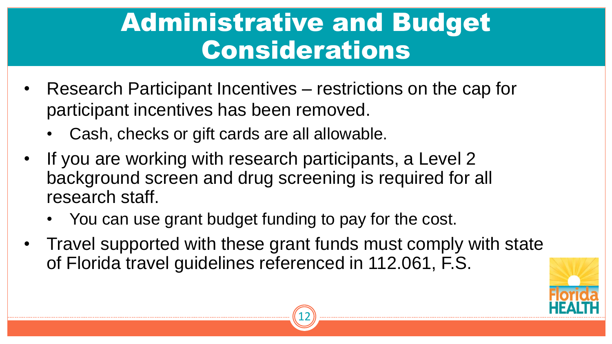### Administrative and Budget Considerations

- Research Participant Incentives restrictions on the cap for participant incentives has been removed.
	- Cash, checks or gift cards are all allowable.
- If you are working with research participants, a Level 2 background screen and drug screening is required for all research staff.
	- You can use grant budget funding to pay for the cost.
- Travel supported with these grant funds must comply with state of Florida travel guidelines referenced in 112.061, F.S.



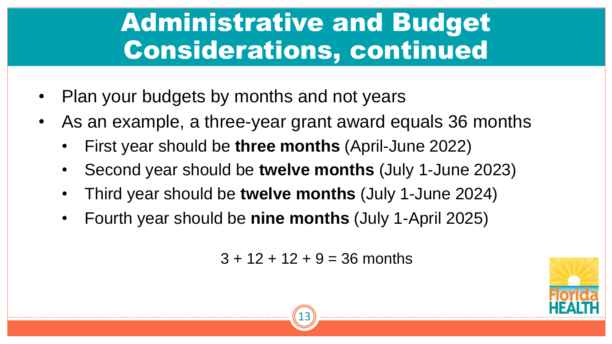### Administrative and Budget Considerations, continued

- Plan your budgets by months and not years
- As an example, a three-year grant award equals 36 months
	- First year should be **three months** (April-June 2022)
	- Second year should be **twelve months** (July 1-June 2023)
	- Third year should be **twelve months** (July 1-June 2024)
	- Fourth year should be **nine months** (July 1-April 2025)

 $3 + 12 + 12 + 9 = 36$  months